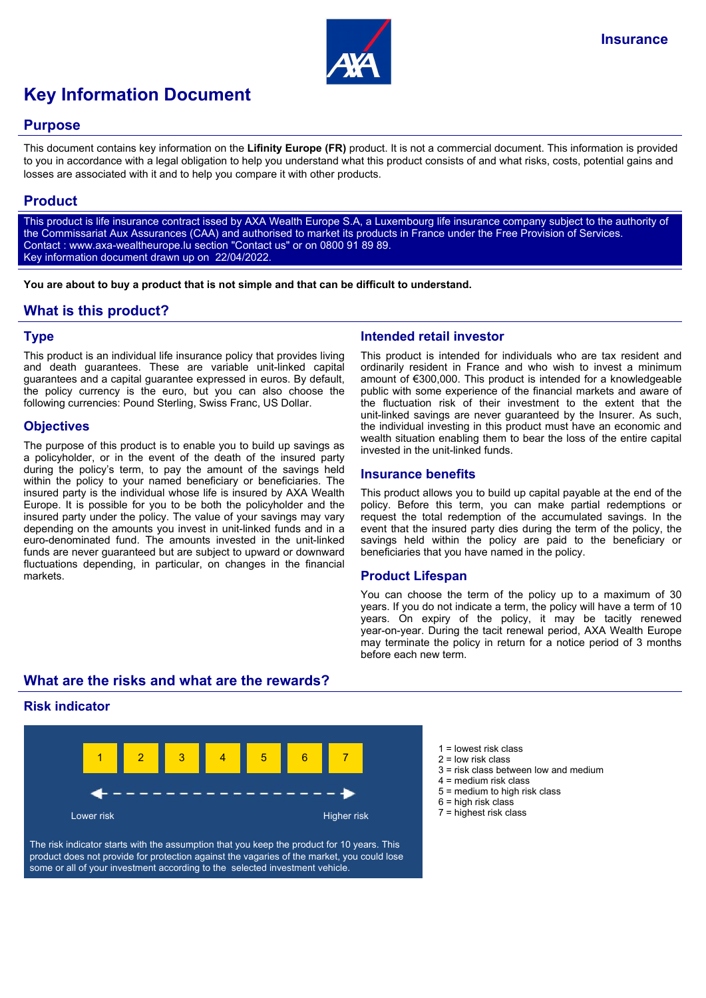

# **Key Information Document**

### **Purpose**

This document contains key information on the **Lifinity Europe (FR)** product. It is not a commercial document. This information is provided to you in accordance with a legal obligation to help you understand what this product consists of and what risks, costs, potential gains and losses are associated with it and to help you compare it with other products.

## **Product**

This product is life insurance contract issed by AXA Wealth Europe S.A, a Luxembourg life insurance company subject to the authority of the Commissariat Aux Assurances (CAA) and authorised to market its products in France under the Free Provision of Services. Contact : www.axa-wealtheurope.lu section "Contact us" or on 0800 91 89 89. Key information document drawn up on 22/04/2022.

**You are about to buy a product that is not simple and that can be difficult to understand.**

## **What is this product?**

#### **Type**

This product is an individual life insurance policy that provides living and death guarantees. These are variable unit-linked capital guarantees and a capital guarantee expressed in euros. By default, the policy currency is the euro, but you can also choose the following currencies: Pound Sterling, Swiss Franc, US Dollar.

#### **Objectives**

The purpose of this product is to enable you to build up savings as a policyholder, or in the event of the death of the insured party during the policy's term, to pay the amount of the savings held within the policy to your named beneficiary or beneficiaries. The insured party is the individual whose life is insured by AXA Wealth Europe. It is possible for you to be both the policyholder and the insured party under the policy. The value of your savings may vary depending on the amounts you invest in unit-linked funds and in a euro-denominated fund. The amounts invested in the unit-linked funds are never guaranteed but are subject to upward or downward fluctuations depending, in particular, on changes in the financial markets.

## **Intended retail investor**

This product is intended for individuals who are tax resident and ordinarily resident in France and who wish to invest a minimum amount of €300,000. This product is intended for a knowledgeable public with some experience of the financial markets and aware of the fluctuation risk of their investment to the extent that the unit-linked savings are never guaranteed by the Insurer. As such, the individual investing in this product must have an economic and wealth situation enabling them to bear the loss of the entire capital invested in the unit-linked funds.

#### **Insurance benefits**

This product allows you to build up capital payable at the end of the policy. Before this term, you can make partial redemptions or request the total redemption of the accumulated savings. In the event that the insured party dies during the term of the policy, the savings held within the policy are paid to the beneficiary or beneficiaries that you have named in the policy.

#### **Product Lifespan**

You can choose the term of the policy up to a maximum of 30 years. If you do not indicate a term, the policy will have a term of 10 years. On expiry of the policy, it may be tacitly renewed year-on-year. During the tacit renewal period, AXA Wealth Europe may terminate the policy in return for a notice period of 3 months before each new term.

# **What are the risks and what are the rewards?**

## **Risk indicator**



The risk indicator starts with the assumption that you keep the product for 10 years. This product does not provide for protection against the vagaries of the market, you could lose some or all of your investment according to the selected investment vehicle.

- $1 =$  lowest risk class
- 2 = low risk class
- $3$  = risk class between low and medium
- 4 = medium risk class
- 5 = medium to high risk class
- $6$  = high risk class
- 7 = highest risk class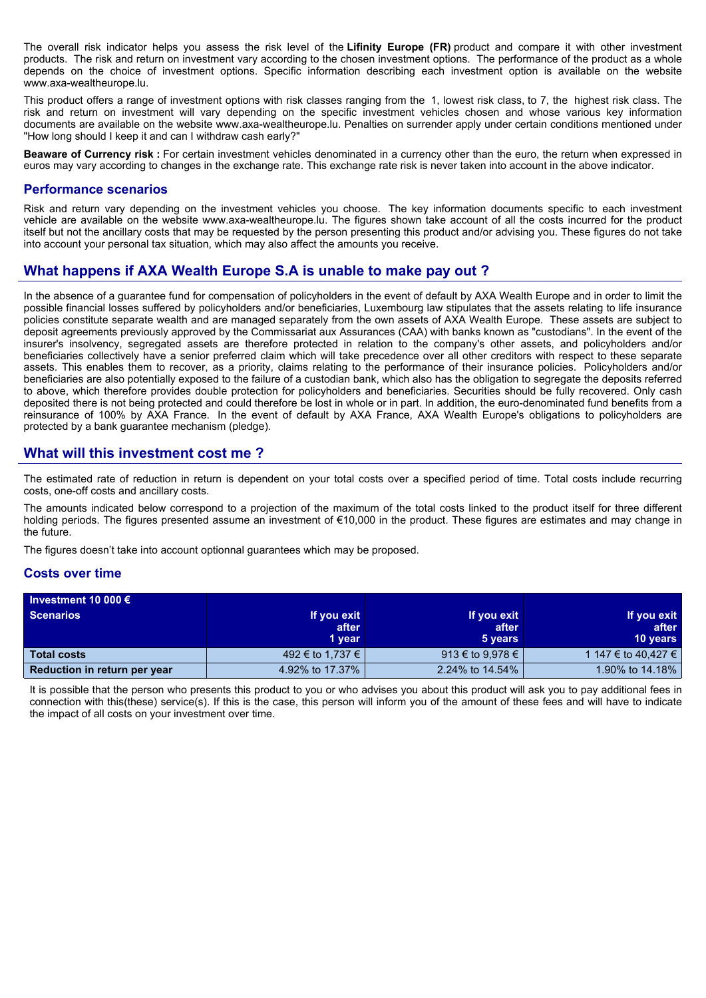The overall risk indicator helps you assess the risk level of the **Lifinity Europe (FR)** product and compare it with other investment products. The risk and return on investment vary according to the chosen investment options. The performance of the product as a whole depends on the choice of investment options. Specific information describing each investment option is available on the website www.axa-wealtheurope.lu.

This product offers a range of investment options with risk classes ranging from the 1, lowest risk class, to 7, the highest risk class. The risk and return on investment will vary depending on the specific investment vehicles chosen and whose various key information documents are available on the website www.axa-wealtheurope.lu. Penalties on surrender apply under certain conditions mentioned under "How long should I keep it and can I withdraw cash early?"

**Beaware of Currency risk :** For certain investment vehicles denominated in a currency other than the euro, the return when expressed in euros may vary according to changes in the exchange rate. This exchange rate risk is never taken into account in the above indicator.

#### **Performance scenarios**

Risk and return vary depending on the investment vehicles you choose. The key information documents specific to each investment vehicle are available on the website www.axa-wealtheurope.lu. The figures shown take account of all the costs incurred for the product itself but not the ancillary costs that may be requested by the person presenting this product and/or advising you. These figures do not take into account your personal tax situation, which may also affect the amounts you receive.

# **What happens if AXA Wealth Europe S.A is unable to make pay out ?**

In the absence of a guarantee fund for compensation of policyholders in the event of default by AXA Wealth Europe and in order to limit the possible financial losses suffered by policyholders and/or beneficiaries, Luxembourg law stipulates that the assets relating to life insurance policies constitute separate wealth and are managed separately from the own assets of AXA Wealth Europe. These assets are subject to deposit agreements previously approved by the Commissariat aux Assurances (CAA) with banks known as "custodians". In the event of the insurer's insolvency, segregated assets are therefore protected in relation to the company's other assets, and policyholders and/or beneficiaries collectively have a senior preferred claim which will take precedence over all other creditors with respect to these separate assets. This enables them to recover, as a priority, claims relating to the performance of their insurance policies. Policyholders and/or beneficiaries are also potentially exposed to the failure of a custodian bank, which also has the obligation to segregate the deposits referred to above, which therefore provides double protection for policyholders and beneficiaries. Securities should be fully recovered. Only cash deposited there is not being protected and could therefore be lost in whole or in part. In addition, the euro-denominated fund benefits from a reinsurance of 100% by AXA France. In the event of default by AXA France, AXA Wealth Europe's obligations to policyholders are protected by a bank guarantee mechanism (pledge).

## **What will this investment cost me ?**

The estimated rate of reduction in return is dependent on your total costs over a specified period of time. Total costs include recurring costs, one-off costs and ancillary costs.

The amounts indicated below correspond to a projection of the maximum of the total costs linked to the product itself for three different holding periods. The figures presented assume an investment of €10,000 in the product. These figures are estimates and may change in the future.

The figures doesn't take into account optionnal guarantees which may be proposed.

#### **Costs over time**

| Investment 10 000 $\epsilon$ |                  |                  |                     |
|------------------------------|------------------|------------------|---------------------|
| <b>Scenarios</b>             | If you exit      | If you exit      | If you exit         |
|                              | after            | after            | after               |
|                              | 1 year           | 5 years          | <b>10 years</b>     |
| <b>Total costs</b>           | 492 € to 1,737 € | 913 € to 9,978 € | 1 147 € to 40.427 € |
| Reduction in return per year | 4.92% to 17.37%  | 2.24% to 14.54%  | 1.90% to 14.18%     |

It is possible that the person who presents this product to you or who advises you about this product will ask you to pay additional fees in connection with this(these) service(s). If this is the case, this person will inform you of the amount of these fees and will have to indicate the impact of all costs on your investment over time.